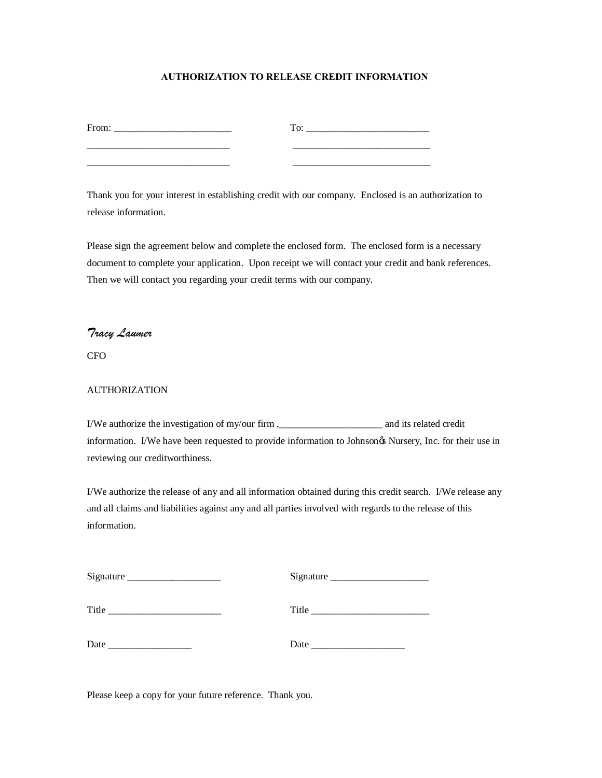## **AUTHORIZATION TO RELEASE CREDIT INFORMATION**

| From: | To: |
|-------|-----|
|       |     |
|       |     |

Thank you for your interest in establishing credit with our company. Enclosed is an authorization to release information.

Please sign the agreement below and complete the enclosed form. The enclosed form is a necessary document to complete your application. Upon receipt we will contact your credit and bank references. Then we will contact you regarding your credit terms with our company.

## *Tracy Laumer*

CFO

## AUTHORIZATION

I/We authorize the investigation of my/our firm ,\_\_\_\_\_\_\_\_\_\_\_\_\_\_\_\_\_\_\_\_\_ and its related credit information. I/We have been requested to provide information to Johnson& Nursery, Inc. for their use in reviewing our creditworthiness.

I/We authorize the release of any and all information obtained during this credit search. I/We release any and all claims and liabilities against any and all parties involved with regards to the release of this information.

| Signature | Signature                                                                                                                                                                                                                           |
|-----------|-------------------------------------------------------------------------------------------------------------------------------------------------------------------------------------------------------------------------------------|
| Title     | Title <b>The Community</b> of the Community of the Community of the Community of the Community of the Community of the Community of the Community of the Community of the Community of the Community of the Community of the Commun |
| Date      | Date                                                                                                                                                                                                                                |

Please keep a copy for your future reference. Thank you.